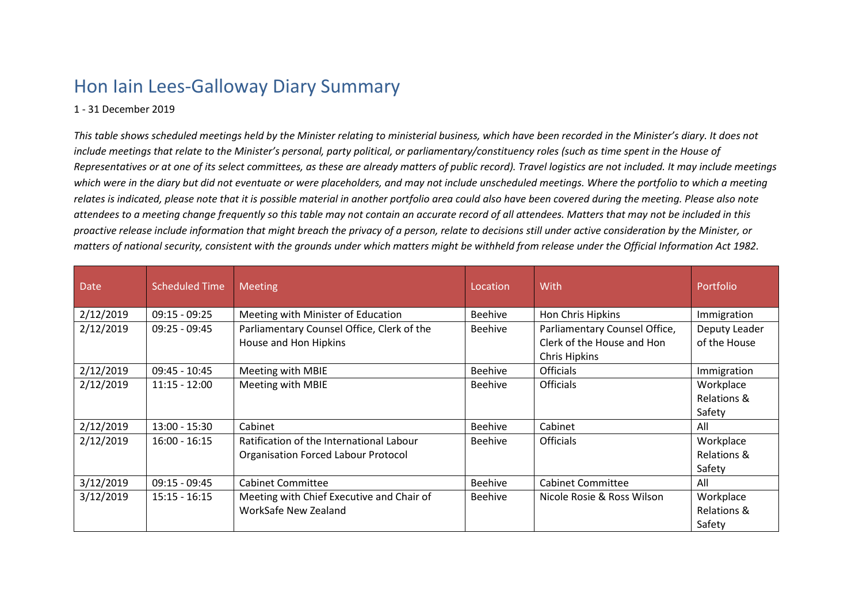## Hon Iain Lees-Galloway Diary Summary

## 1 - 31 December 2019

*This table shows scheduled meetings held by the Minister relating to ministerial business, which have been recorded in the Minister's diary. It does not include meetings that relate to the Minister's personal, party political, or parliamentary/constituency roles (such as time spent in the House of Representatives or at one of its select committees, as these are already matters of public record). Travel logistics are not included. It may include meetings which were in the diary but did not eventuate or were placeholders, and may not include unscheduled meetings. Where the portfolio to which a meeting*  relates is indicated, please note that it is possible material in another portfolio area could also have been covered during the meeting. Please also note *attendees to a meeting change frequently so this table may not contain an accurate record of all attendees. Matters that may not be included in this proactive release include information that might breach the privacy of a person, relate to decisions still under active consideration by the Minister, or matters of national security, consistent with the grounds under which matters might be withheld from release under the Official Information Act 1982.*

| <b>Date</b> | <b>Scheduled Time</b> | <b>Meeting</b>                             | Location       | With                          | Portfolio     |
|-------------|-----------------------|--------------------------------------------|----------------|-------------------------------|---------------|
| 2/12/2019   | $09:15 - 09:25$       | Meeting with Minister of Education         | <b>Beehive</b> | Hon Chris Hipkins             | Immigration   |
| 2/12/2019   | $09:25 - 09:45$       | Parliamentary Counsel Office, Clerk of the | <b>Beehive</b> | Parliamentary Counsel Office, | Deputy Leader |
|             |                       | House and Hon Hipkins                      |                | Clerk of the House and Hon    | of the House  |
|             |                       |                                            |                | Chris Hipkins                 |               |
| 2/12/2019   | 09:45 - 10:45         | Meeting with MBIE                          | <b>Beehive</b> | <b>Officials</b>              | Immigration   |
| 2/12/2019   | $11:15 - 12:00$       | Meeting with MBIE                          | <b>Beehive</b> | <b>Officials</b>              | Workplace     |
|             |                       |                                            |                |                               | Relations &   |
|             |                       |                                            |                |                               | Safety        |
| 2/12/2019   | $13:00 - 15:30$       | Cabinet                                    | Beehive        | Cabinet                       | All           |
| 2/12/2019   | $16:00 - 16:15$       | Ratification of the International Labour   | <b>Beehive</b> | <b>Officials</b>              | Workplace     |
|             |                       | <b>Organisation Forced Labour Protocol</b> |                |                               | Relations &   |
|             |                       |                                            |                |                               | Safety        |
| 3/12/2019   | $09:15 - 09:45$       | <b>Cabinet Committee</b>                   | <b>Beehive</b> | <b>Cabinet Committee</b>      | All           |
| 3/12/2019   | $15:15 - 16:15$       | Meeting with Chief Executive and Chair of  | <b>Beehive</b> | Nicole Rosie & Ross Wilson    | Workplace     |
|             |                       | WorkSafe New Zealand                       |                |                               | Relations &   |
|             |                       |                                            |                |                               | Safety        |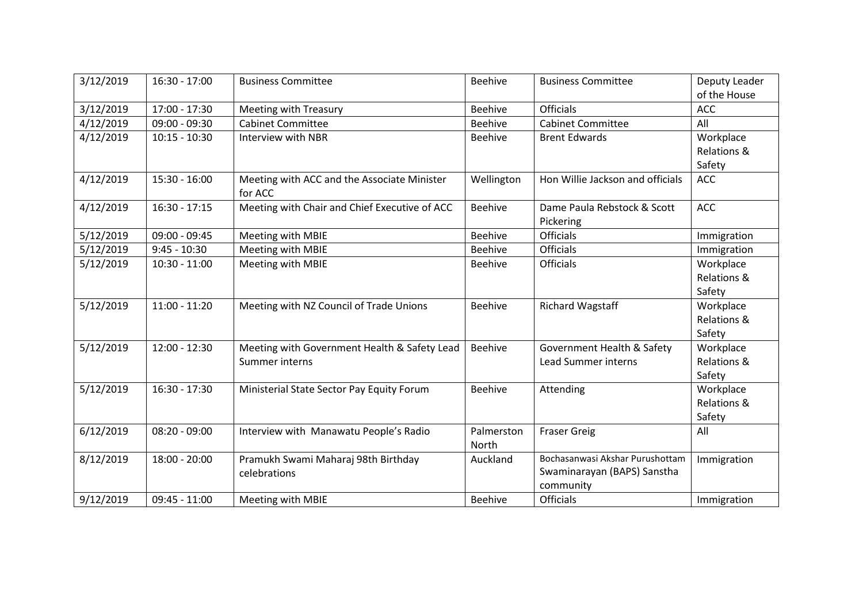| 3/12/2019 | $16:30 - 17:00$ | <b>Business Committee</b>                              | <b>Beehive</b> | <b>Business Committee</b>        | Deputy Leader<br>of the House |
|-----------|-----------------|--------------------------------------------------------|----------------|----------------------------------|-------------------------------|
| 3/12/2019 | 17:00 - 17:30   | <b>Meeting with Treasury</b>                           | <b>Beehive</b> | <b>Officials</b>                 | <b>ACC</b>                    |
| 4/12/2019 | $09:00 - 09:30$ | <b>Cabinet Committee</b>                               | <b>Beehive</b> | <b>Cabinet Committee</b>         | All                           |
| 4/12/2019 | $10:15 - 10:30$ | Interview with NBR                                     | Beehive        | <b>Brent Edwards</b>             | Workplace                     |
|           |                 |                                                        |                |                                  | Relations &                   |
|           |                 |                                                        |                |                                  | Safety                        |
| 4/12/2019 | $15:30 - 16:00$ | Meeting with ACC and the Associate Minister<br>for ACC | Wellington     | Hon Willie Jackson and officials | <b>ACC</b>                    |
| 4/12/2019 | $16:30 - 17:15$ | Meeting with Chair and Chief Executive of ACC          | <b>Beehive</b> | Dame Paula Rebstock & Scott      | <b>ACC</b>                    |
|           |                 |                                                        |                | Pickering                        |                               |
| 5/12/2019 | $09:00 - 09:45$ | Meeting with MBIE                                      | <b>Beehive</b> | <b>Officials</b>                 | Immigration                   |
| 5/12/2019 | $9:45 - 10:30$  | Meeting with MBIE                                      | <b>Beehive</b> | Officials                        | Immigration                   |
| 5/12/2019 | $10:30 - 11:00$ | Meeting with MBIE                                      | <b>Beehive</b> | <b>Officials</b>                 | Workplace                     |
|           |                 |                                                        |                |                                  | Relations &                   |
|           |                 |                                                        |                |                                  | Safety                        |
| 5/12/2019 | $11:00 - 11:20$ | Meeting with NZ Council of Trade Unions                | <b>Beehive</b> | <b>Richard Wagstaff</b>          | Workplace                     |
|           |                 |                                                        |                |                                  | Relations &                   |
|           |                 |                                                        |                |                                  | Safety                        |
| 5/12/2019 | $12:00 - 12:30$ | Meeting with Government Health & Safety Lead           | <b>Beehive</b> | Government Health & Safety       | Workplace                     |
|           |                 | Summer interns                                         |                | <b>Lead Summer interns</b>       | Relations &                   |
|           |                 |                                                        |                |                                  | Safety                        |
| 5/12/2019 | $16:30 - 17:30$ | Ministerial State Sector Pay Equity Forum              | <b>Beehive</b> | Attending                        | Workplace                     |
|           |                 |                                                        |                |                                  | Relations &                   |
|           |                 |                                                        |                |                                  | Safety                        |
| 6/12/2019 | $08:20 - 09:00$ | Interview with Manawatu People's Radio                 | Palmerston     | <b>Fraser Greig</b>              | All                           |
|           |                 |                                                        | North          |                                  |                               |
| 8/12/2019 | $18:00 - 20:00$ | Pramukh Swami Maharaj 98th Birthday                    | Auckland       | Bochasanwasi Akshar Purushottam  | Immigration                   |
|           |                 | celebrations                                           |                | Swaminarayan (BAPS) Sanstha      |                               |
| 9/12/2019 | $09:45 - 11:00$ | Meeting with MBIE                                      | <b>Beehive</b> | community<br><b>Officials</b>    | Immigration                   |
|           |                 |                                                        |                |                                  |                               |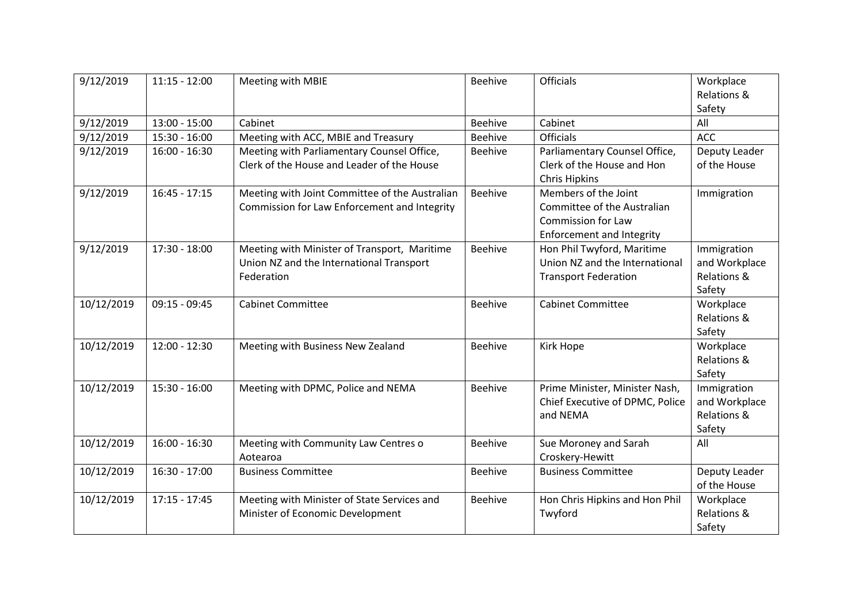| 9/12/2019  | $11:15 - 12:00$ | Meeting with MBIE                                                                                      | <b>Beehive</b> | <b>Officials</b>                                                                                              | Workplace<br>Relations &<br>Safety                    |
|------------|-----------------|--------------------------------------------------------------------------------------------------------|----------------|---------------------------------------------------------------------------------------------------------------|-------------------------------------------------------|
| 9/12/2019  | $13:00 - 15:00$ | Cabinet                                                                                                | <b>Beehive</b> | Cabinet                                                                                                       | All                                                   |
| 9/12/2019  | 15:30 - 16:00   | Meeting with ACC, MBIE and Treasury                                                                    | <b>Beehive</b> | <b>Officials</b>                                                                                              | ACC                                                   |
| 9/12/2019  | $16:00 - 16:30$ | Meeting with Parliamentary Counsel Office,<br>Clerk of the House and Leader of the House               | <b>Beehive</b> | Parliamentary Counsel Office,<br>Clerk of the House and Hon<br><b>Chris Hipkins</b>                           | Deputy Leader<br>of the House                         |
| 9/12/2019  | $16:45 - 17:15$ | Meeting with Joint Committee of the Australian<br>Commission for Law Enforcement and Integrity         | <b>Beehive</b> | Members of the Joint<br>Committee of the Australian<br>Commission for Law<br><b>Enforcement and Integrity</b> | Immigration                                           |
| 9/12/2019  | 17:30 - 18:00   | Meeting with Minister of Transport, Maritime<br>Union NZ and the International Transport<br>Federation | <b>Beehive</b> | Hon Phil Twyford, Maritime<br>Union NZ and the International<br><b>Transport Federation</b>                   | Immigration<br>and Workplace<br>Relations &<br>Safety |
| 10/12/2019 | $09:15 - 09:45$ | <b>Cabinet Committee</b>                                                                               | <b>Beehive</b> | <b>Cabinet Committee</b>                                                                                      | Workplace<br>Relations &<br>Safety                    |
| 10/12/2019 | $12:00 - 12:30$ | Meeting with Business New Zealand                                                                      | <b>Beehive</b> | Kirk Hope                                                                                                     | Workplace<br>Relations &<br>Safety                    |
| 10/12/2019 | $15:30 - 16:00$ | Meeting with DPMC, Police and NEMA                                                                     | <b>Beehive</b> | Prime Minister, Minister Nash,<br>Chief Executive of DPMC, Police<br>and NEMA                                 | Immigration<br>and Workplace<br>Relations &<br>Safety |
| 10/12/2019 | $16:00 - 16:30$ | Meeting with Community Law Centres o<br>Aotearoa                                                       | <b>Beehive</b> | Sue Moroney and Sarah<br>Croskery-Hewitt                                                                      | All                                                   |
| 10/12/2019 | $16:30 - 17:00$ | <b>Business Committee</b>                                                                              | <b>Beehive</b> | <b>Business Committee</b>                                                                                     | Deputy Leader<br>of the House                         |
| 10/12/2019 | $17:15 - 17:45$ | Meeting with Minister of State Services and<br>Minister of Economic Development                        | <b>Beehive</b> | Hon Chris Hipkins and Hon Phil<br>Twyford                                                                     | Workplace<br>Relations &<br>Safety                    |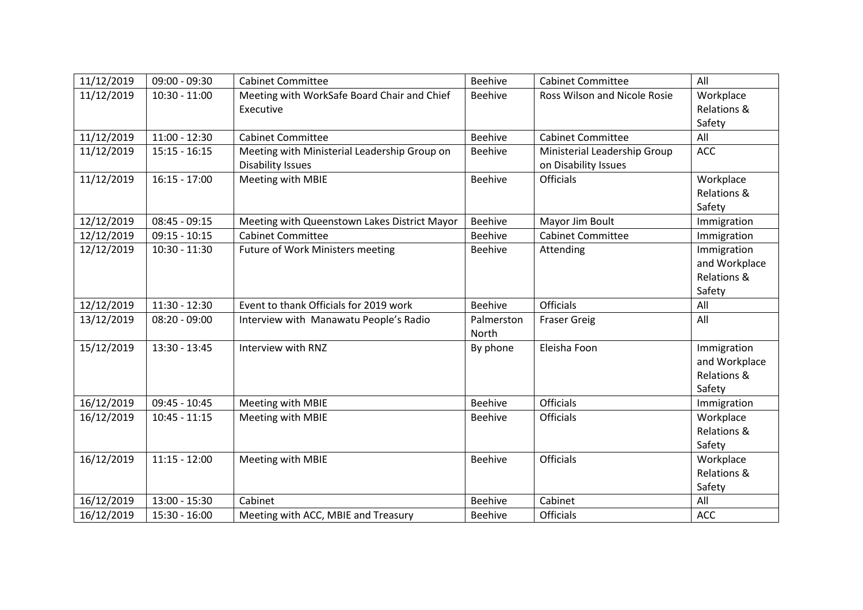| 11/12/2019 | $09:00 - 09:30$ | <b>Cabinet Committee</b>                     | <b>Beehive</b> | <b>Cabinet Committee</b>     | All           |
|------------|-----------------|----------------------------------------------|----------------|------------------------------|---------------|
| 11/12/2019 | $10:30 - 11:00$ | Meeting with WorkSafe Board Chair and Chief  | Beehive        | Ross Wilson and Nicole Rosie | Workplace     |
|            |                 | Executive                                    |                |                              | Relations &   |
|            |                 |                                              |                |                              | Safety        |
| 11/12/2019 | $11:00 - 12:30$ | <b>Cabinet Committee</b>                     | <b>Beehive</b> | <b>Cabinet Committee</b>     | All           |
| 11/12/2019 | $15:15 - 16:15$ | Meeting with Ministerial Leadership Group on | <b>Beehive</b> | Ministerial Leadership Group | <b>ACC</b>    |
|            |                 | <b>Disability Issues</b>                     |                | on Disability Issues         |               |
| 11/12/2019 | $16:15 - 17:00$ | Meeting with MBIE                            | <b>Beehive</b> | <b>Officials</b>             | Workplace     |
|            |                 |                                              |                |                              | Relations &   |
|            |                 |                                              |                |                              | Safety        |
| 12/12/2019 | $08:45 - 09:15$ | Meeting with Queenstown Lakes District Mayor | <b>Beehive</b> | Mayor Jim Boult              | Immigration   |
| 12/12/2019 | $09:15 - 10:15$ | <b>Cabinet Committee</b>                     | <b>Beehive</b> | <b>Cabinet Committee</b>     | Immigration   |
| 12/12/2019 | $10:30 - 11:30$ | <b>Future of Work Ministers meeting</b>      | <b>Beehive</b> | Attending                    | Immigration   |
|            |                 |                                              |                |                              | and Workplace |
|            |                 |                                              |                |                              | Relations &   |
|            |                 |                                              |                |                              | Safety        |
| 12/12/2019 | $11:30 - 12:30$ | Event to thank Officials for 2019 work       | <b>Beehive</b> | <b>Officials</b>             | All           |
| 13/12/2019 | $08:20 - 09:00$ | Interview with Manawatu People's Radio       | Palmerston     | <b>Fraser Greig</b>          | All           |
|            |                 |                                              | North          |                              |               |
| 15/12/2019 | $13:30 - 13:45$ | Interview with RNZ                           | By phone       | Eleisha Foon                 | Immigration   |
|            |                 |                                              |                |                              | and Workplace |
|            |                 |                                              |                |                              | Relations &   |
|            |                 |                                              |                |                              | Safety        |
| 16/12/2019 | $09:45 - 10:45$ | Meeting with MBIE                            | <b>Beehive</b> | <b>Officials</b>             | Immigration   |
| 16/12/2019 | $10:45 - 11:15$ | Meeting with MBIE                            | <b>Beehive</b> | Officials                    | Workplace     |
|            |                 |                                              |                |                              | Relations &   |
|            |                 |                                              |                |                              | Safety        |
| 16/12/2019 | $11:15 - 12:00$ | Meeting with MBIE                            | <b>Beehive</b> | <b>Officials</b>             | Workplace     |
|            |                 |                                              |                |                              | Relations &   |
|            |                 |                                              |                |                              | Safety        |
| 16/12/2019 | $13:00 - 15:30$ | Cabinet                                      | <b>Beehive</b> | Cabinet                      | All           |
| 16/12/2019 | $15:30 - 16:00$ | Meeting with ACC, MBIE and Treasury          | Beehive        | Officials                    | <b>ACC</b>    |